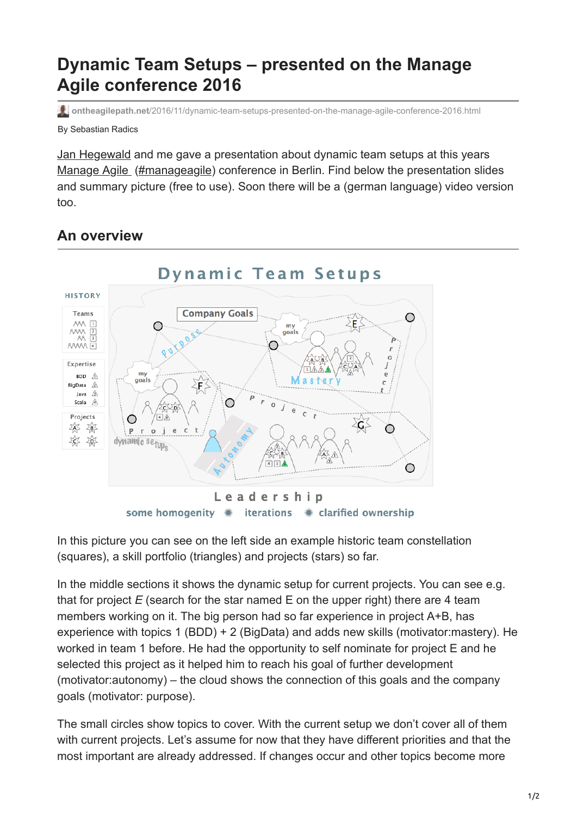## **Dynamic Team Setups – presented on the Manage Agile conference 2016**

**ontheagilepath.net**[/2016/11/dynamic-team-setups-presented-on-the-manage-agile-conference-2016.html](https://www.ontheagilepath.net/2016/11/dynamic-team-setups-presented-on-the-manage-agile-conference-2016.html)

By Sebastian Radics

[Jan Hegewald](http://www.agil-gefuehrt.de/) and me gave a presentation about dynamic team setups at this years [Manage Agile](http://www.manage-agile.de/) [\(#manageagile](https://twitter.com/search?q=%23manageagile&src=tyah)) conference in Berlin. Find below the presentation slides and summary picture (free to use). Soon there will be a (german language) video version too.

## **An overview**



In this picture you can see on the left side an example historic team constellation (squares), a skill portfolio (triangles) and projects (stars) so far.

In the middle sections it shows the dynamic setup for current projects. You can see e.g. that for project *E* (search for the star named E on the upper right) there are 4 team members working on it. The big person had so far experience in project A+B, has experience with topics 1 (BDD) + 2 (BigData) and adds new skills (motivator:mastery). He worked in team 1 before. He had the opportunity to self nominate for project E and he selected this project as it helped him to reach his goal of further development (motivator:autonomy) – the cloud shows the connection of this goals and the company goals (motivator: purpose).

The small circles show topics to cover. With the current setup we don't cover all of them with current projects. Let's assume for now that they have different priorities and that the most important are already addressed. If changes occur and other topics become more